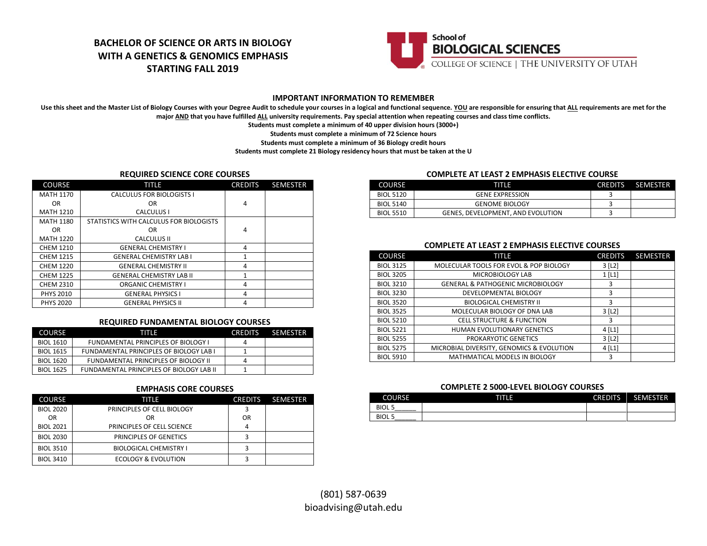## **BACHELOR OF SCIENCE OR ARTS IN BIOLOGY WITH A GENETICS & GENOMICS EMPHASIS STARTING FALL 2019**



#### **IMPORTANT INFORMATION TO REMEMBER**

Use this sheet and the Master List of Biology Courses with your Degree Audit to schedule your courses in a logical and functional sequence. YOU are responsible for ensuring that ALL requirements are met for the **major AND that you have fulfilled ALL university requirements. Pay special attention when repeating courses and class time conflicts.**

**Students must complete a minimum of 40 upper division hours (3000+)**

**Students must complete a minimum of 72 Science hours**

**Students must complete a minimum of 36 Biology credit hours**

**Students must complete 21 Biology residency hours that must be taken at the U**

#### **REQUIRED SCIENCE CORE COURSES**

| <b>COURSE</b>    | TITLE                                   | <b>CREDITS</b> | <b>SEMESTER</b> |
|------------------|-----------------------------------------|----------------|-----------------|
| <b>MATH 1170</b> | <b>CALCULUS FOR BIOLOGISTS I</b>        |                |                 |
| OR.              | OR                                      | 4              |                 |
| <b>MATH 1210</b> | <b>CALCULUS I</b>                       |                |                 |
| <b>MATH 1180</b> | STATISTICS WITH CALCULUS FOR BIOLOGISTS |                |                 |
| <b>OR</b>        | 0R                                      | 4              |                 |
| <b>MATH 1220</b> | <b>CALCULUS II</b>                      |                |                 |
| <b>CHEM 1210</b> | <b>GENERAL CHEMISTRY I</b>              | 4              |                 |
| <b>CHEM 1215</b> | <b>GENERAL CHEMISTRY LAB I</b>          | $\mathbf{1}$   |                 |
| <b>CHEM 1220</b> | <b>GENERAL CHEMISTRY II</b>             | 4              |                 |
| <b>CHEM 1225</b> | <b>GENERAL CHEMISTRY LAB II</b>         | 1              |                 |
| <b>CHEM 2310</b> | <b>ORGANIC CHEMISTRY I</b>              | 4              |                 |
| <b>PHYS 2010</b> | <b>GENERAL PHYSICS I</b>                | 4              |                 |
| <b>PHYS 2020</b> | <b>GENERAL PHYSICS II</b>               | 4              |                 |

#### **REQUIRED FUNDAMENTAL BIOLOGY COURSES**

| <b>COURSE</b>    | TITIE                                          | <b>CREDITS</b> | ⊤ SEMESTER |
|------------------|------------------------------------------------|----------------|------------|
| <b>BIOL 1610</b> | <b>FUNDAMENTAL PRINCIPLES OF BIOLOGY I</b>     | 4              |            |
| <b>BIOL 1615</b> | <b>FUNDAMENTAL PRINCIPLES OF BIOLOGY LAB I</b> |                |            |
| BIOL 1620        | FUNDAMENTAL PRINCIPLES OF BIOLOGY II           |                |            |
| <b>BIOL 1625</b> | FUNDAMENTAL PRINCIPLES OF BIOLOGY LAB II       |                |            |

#### **EMPHASIS CORE COURSES**

| <b>COURSE</b>    | TITLE                         | <b>CREDITS</b> | <b>SEMESTER</b> |
|------------------|-------------------------------|----------------|-----------------|
| <b>BIOL 2020</b> | PRINCIPLES OF CELL BIOLOGY    |                |                 |
| OR               | OR                            | OR             |                 |
| <b>BIOL 2021</b> | PRINCIPLES OF CELL SCIENCE    |                |                 |
| <b>BIOL 2030</b> | PRINCIPLES OF GENETICS        |                |                 |
| <b>BIOL 3510</b> | <b>BIOLOGICAL CHEMISTRY I</b> |                |                 |
| <b>BIOL 3410</b> | ECOLOGY & EVOLUTION           |                |                 |

#### **COMPLETE AT LEAST 2 EMPHASIS ELECTIVE COURSE**

| <b>COURSE</b>    | THE                               | <b>CREDITS</b> | SEMESTER |
|------------------|-----------------------------------|----------------|----------|
| <b>BIOL 5120</b> | <b>GENE EXPRESSION</b>            |                |          |
| <b>BIOL 5140</b> | <b>GENOME BIOLOGY</b>             |                |          |
| <b>BIOL 5510</b> | GENES, DEVELOPMENT, AND EVOLUTION |                |          |

#### **COMPLETE AT LEAST 2 EMPHASIS ELECTIVE COURSES**

| <b>COURSE</b>    | TITLE                                        | <b>CREDITS</b>        | <b>SEMESTER</b> |
|------------------|----------------------------------------------|-----------------------|-----------------|
| <b>BIOL 3125</b> | MOLECULAR TOOLS FOR EVOL & POP BIOLOGY       | $3$ [L <sub>2</sub> ] |                 |
| <b>BIOL 3205</b> | MICROBIOLOGY LAB                             | $1$ [L1]              |                 |
| <b>BIOL 3210</b> | <b>GENERAL &amp; PATHOGENIC MICROBIOLOGY</b> | 3                     |                 |
| <b>BIOL 3230</b> | DEVELOPMENTAL BIOLOGY                        | 3                     |                 |
| <b>BIOL 3520</b> | <b>BIOLOGICAL CHEMISTRY II</b>               | 3                     |                 |
| <b>BIOL 3525</b> | MOLECULAR BIOLOGY OF DNA LAB                 | $3$ [L <sub>2</sub> ] |                 |
| <b>BIOL 5210</b> | <b>CELL STRUCTURE &amp; FUNCTION</b>         | 3                     |                 |
| <b>BIOL 5221</b> | HUMAN EVOLUTIONARY GENETICS                  | $4$ [L1]              |                 |
| <b>BIOL 5255</b> | PROKARYOTIC GENETICS                         | $3$ [L <sub>2</sub> ] |                 |
| <b>BIOL 5275</b> | MICROBIAL DIVERSITY, GENOMICS & EVOLUTION    | $4$ [L1]              |                 |
| <b>BIOL 5910</b> | MATHMATICAL MODELS IN BIOLOGY                | 3                     |                 |

#### **COMPLETE 2 5000-LEVEL BIOLOGY COURSES**

| <b>COURSE</b>               | गाए | <b>CREDITS</b> | <b>SEMESTER</b> |
|-----------------------------|-----|----------------|-----------------|
| <b>BIOL 5</b><br>______     |     |                |                 |
| <b>BIOL 5</b><br>__________ |     |                |                 |